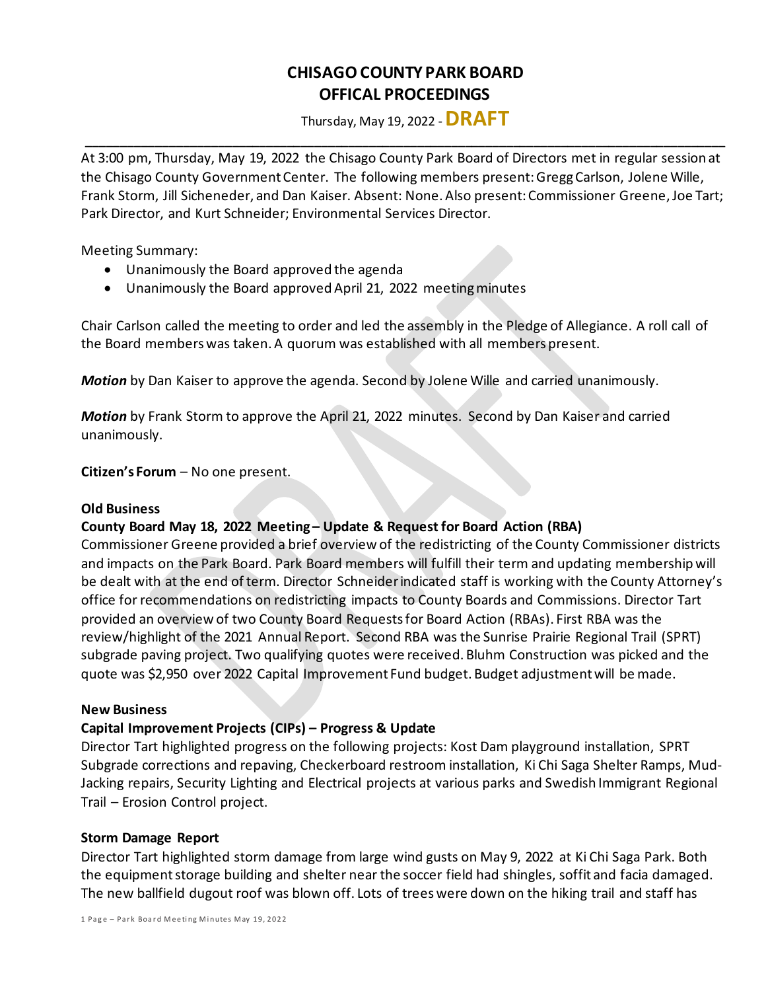# **CHISAGO COUNTY PARK BOARD OFFICAL PROCEEDINGS**

Thursday, May 19, 2022 -**DRAFT \_\_\_\_\_\_\_\_\_\_\_\_\_\_\_\_\_\_\_\_\_\_\_\_\_\_\_\_\_\_\_\_\_\_\_\_\_\_\_\_\_\_\_\_\_\_\_\_\_\_\_\_\_\_\_\_\_\_\_\_\_\_\_\_\_\_\_\_\_\_\_\_\_\_\_\_\_\_\_\_\_\_\_\_\_\_\_\_\_\_\_\_\_**

At 3:00 pm, Thursday, May 19, 2022 the Chisago County Park Board of Directors met in regular session at the Chisago County Government Center. The following members present: Gregg Carlson, Jolene Wille, Frank Storm, Jill Sicheneder, and Dan Kaiser. Absent: None. Also present: Commissioner Greene, Joe Tart; Park Director, and Kurt Schneider; Environmental Services Director.

Meeting Summary:

- Unanimously the Board approved the agenda
- Unanimously the Board approved April 21, 2022 meeting minutes

Chair Carlson called the meeting to order and led the assembly in the Pledge of Allegiance. A roll call of the Board members was taken. A quorum was established with all members present.

*Motion* by Dan Kaiser to approve the agenda. Second by Jolene Wille and carried unanimously.

*Motion* by Frank Storm to approve the April 21, 2022 minutes. Second by Dan Kaiser and carried unanimously.

**Citizen's Forum** – No one present.

## **Old Business**

## **County Board May 18, 2022 Meeting – Update & Request for Board Action (RBA)**

Commissioner Greene provided a brief overview of the redistricting of the County Commissioner districts and impacts on the Park Board. Park Board members will fulfill their term and updating membership will be dealt with at the end of term. Director Schneiderindicated staff is working with the County Attorney's office for recommendations on redistricting impacts to County Boards and Commissions. Director Tart provided an overview of two County Board Requestsfor Board Action (RBAs). First RBA was the review/highlight of the 2021 Annual Report. Second RBA was the Sunrise Prairie Regional Trail (SPRT) subgrade paving project. Two qualifying quotes were received. Bluhm Construction was picked and the quote was \$2,950 over 2022 Capital Improvement Fund budget. Budget adjustment will be made.

#### **New Business**

## **Capital Improvement Projects (CIPs) – Progress & Update**

Director Tart highlighted progress on the following projects: Kost Dam playground installation, SPRT Subgrade corrections and repaving, Checkerboard restroom installation, Ki Chi Saga Shelter Ramps, Mud-Jacking repairs, Security Lighting and Electrical projects at various parks and Swedish Immigrant Regional Trail – Erosion Control project.

## **Storm Damage Report**

Director Tart highlighted storm damage from large wind gusts on May 9, 2022 at Ki Chi Saga Park. Both the equipment storage building and shelter near the soccer field had shingles, soffit and facia damaged. The new ballfield dugout roof was blown off. Lots of trees were down on the hiking trail and staff has